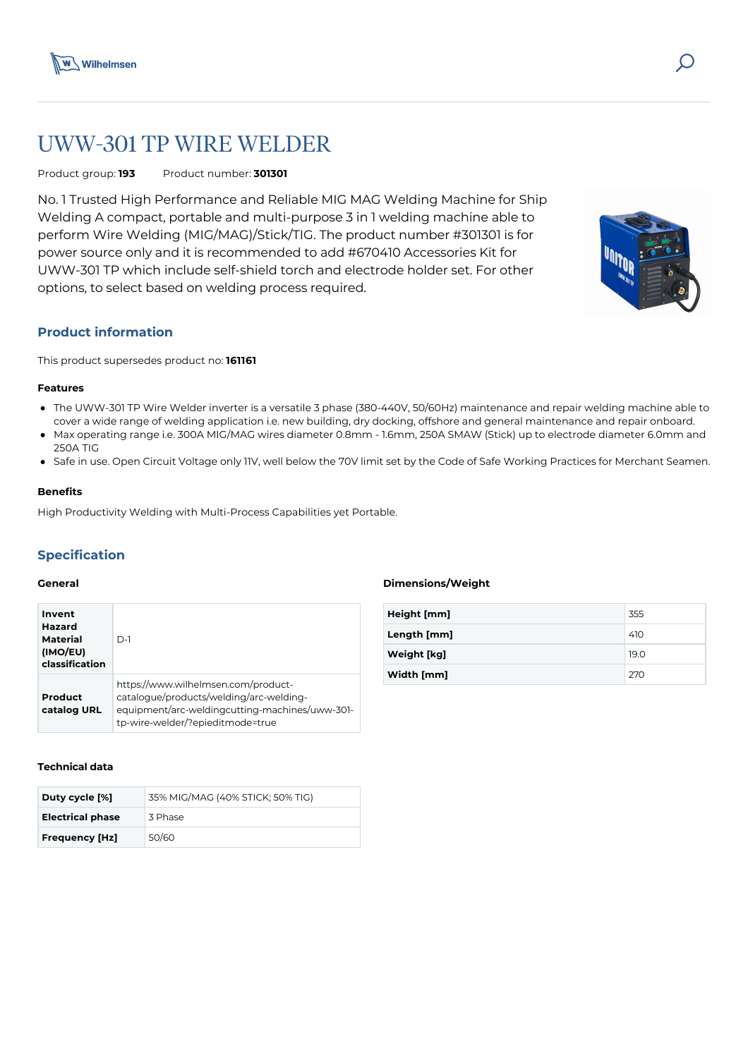

# UWW-301 TP WIRE WELDER

## Product group: **193** Product number: **301301**

No. 1 Trusted High Performance and Reliable MIG MAG Welding Machine for Ship Welding A compact, portable and multi-purpose 3 in 1 welding machine able to perform Wire Welding (MIG/MAG)/Stick/TIG. The product number #301301 is for power source only and it is recommended to add #670410 Accessories Kit for UWW-301 TP which include self-shield torch and electrode holder set. For other options, to select based on welding process required.



This product supersedes product no: **161161**

#### **Features**

- The UWW-301 TP Wire Welder inverter is a versatile 3 phase (380-440V, 50/60Hz) maintenance and repair welding machine able to cover a wide range of welding application i.e. new building, dry docking, offshore and general maintenance and repair onboard.
- Max operating range i.e. 300A MIG/MAG wires diameter 0.8mm 1.6mm, 250A SMAW (Stick) up to electrode diameter 6.0mm and 250A TIG
- Safe in use. Open Circuit Voltage only 11V, well below the 70V limit set by the Code of Safe Working Practices for Merchant Seamen.

## **Benefits**

High Productivity Welding with Multi-Process Capabilities yet Portable.

# **Specification**

#### **General**

| Invent<br><b>Hazard</b><br>Material<br>(IMO/EU)<br>classification | $D-1$                                                                                                                                                                |
|-------------------------------------------------------------------|----------------------------------------------------------------------------------------------------------------------------------------------------------------------|
| Product<br>catalog URL                                            | https://www.wilhelmsen.com/product-<br>catalogue/products/welding/arc-welding-<br>equipment/arc-weldingcutting-machines/uww-301-<br>tp-wire-welder/?epieditmode=true |

#### **Technical data**

| Duty cycle [%]          | 35% MIG/MAG (40% STICK; 50% TIG) |
|-------------------------|----------------------------------|
| <b>Electrical phase</b> | 3 Phase                          |
| <b>Frequency [Hz]</b>   | 50/60                            |

## **Dimensions/Weight**

| Height [mm] | 355  |
|-------------|------|
| Length [mm] | 410  |
| Weight [kg] | 19.0 |
| Width [mm]  | 270  |